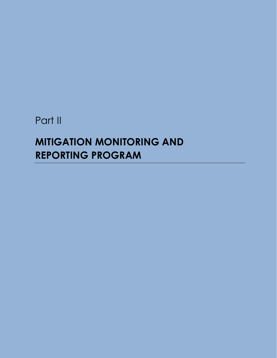## Part II

## **MITIGATION MONITORING AND REPORTING PROGRAM**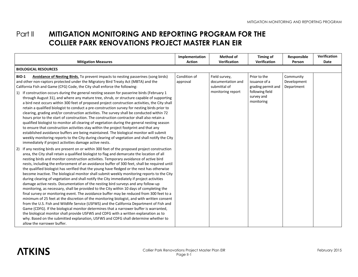## **Part II MITIGATION MONITORING AND REPORTING PROGRAM FOR THE COLLIER PARK RENOVATIONS PROJECT MASTER PLAN EIR**

| <b>Mitigation Measures</b>                                                                                                                                                                                                                                                                                                                                                                                                                                                                                                                                                                                                                                                                                                                                                                                                                                                                                                                                                                                                                                                                                                                                                                                                                                                                                                                                                                                                                                      | Implementation<br><b>Action</b> | Method of<br><b>Verification</b>                                        | Timing of<br><b>Verification</b>                                                                   | Responsible<br>Person                  | Verification<br>Date |  |
|-----------------------------------------------------------------------------------------------------------------------------------------------------------------------------------------------------------------------------------------------------------------------------------------------------------------------------------------------------------------------------------------------------------------------------------------------------------------------------------------------------------------------------------------------------------------------------------------------------------------------------------------------------------------------------------------------------------------------------------------------------------------------------------------------------------------------------------------------------------------------------------------------------------------------------------------------------------------------------------------------------------------------------------------------------------------------------------------------------------------------------------------------------------------------------------------------------------------------------------------------------------------------------------------------------------------------------------------------------------------------------------------------------------------------------------------------------------------|---------------------------------|-------------------------------------------------------------------------|----------------------------------------------------------------------------------------------------|----------------------------------------|----------------------|--|
| <b>BIOLOGICAL RESOURCES</b>                                                                                                                                                                                                                                                                                                                                                                                                                                                                                                                                                                                                                                                                                                                                                                                                                                                                                                                                                                                                                                                                                                                                                                                                                                                                                                                                                                                                                                     |                                 |                                                                         |                                                                                                    |                                        |                      |  |
| <b>BIO-1</b><br>Avoidance of Nesting Birds. To prevent impacts to nesting passerines (song birds)<br>and other non-raptors protected under the Migratory Bird Treaty Act (MBTA) and the<br>California Fish and Game (CFG) Code, the City shall enforce the following:<br>1) If construction occurs during the general nesting season for passerine birds (February 1<br>through August 31), and where any mature tree, shrub, or structure capable of supporting<br>a bird nest occurs within 300 feet of proposed project construction activities, the City shall<br>retain a qualified biologist to conduct a pre-construction survey for nesting birds prior to<br>clearing, grading and/or construction activities. The survey shall be conducted within 72<br>hours prior to the start of construction. The construction contractor shall also retain a<br>qualified biologist to monitor all clearing of vegetation during the general nesting season<br>to ensure that construction activities stay within the project footprint and that any<br>established avoidance buffers are being maintained. The biological monitor will submit<br>weekly monitoring reports to the City during clearing of vegetation and shall notify the City<br>immediately if project activities damage active nests.                                                                                                                                                       | Condition of<br>approval        | Field survey,<br>documentation and<br>submittal of<br>monitoring report | Prior to the<br>issuance of a<br>grading permit and<br>following field<br>survey and<br>monitoring | Community<br>Development<br>Department |                      |  |
| If any nesting birds are present on or within 300 feet of the proposed project construction<br>2)<br>area, the City shall retain a qualified biologist to flag and demarcate the location of all<br>nesting birds and monitor construction activities. Temporary avoidance of active bird<br>nests, including the enforcement of an avoidance buffer of 300 feet, shall be required until<br>the qualified biologist has verified that the young have fledged or the nest has otherwise<br>become inactive. The biological monitor shall submit weekly monitoring reports to the City<br>during clearing of vegetation and shall notify the City immediately if project activities<br>damage active nests. Documentation of the nesting bird surveys and any follow-up<br>monitoring, as necessary, shall be provided to the City within 10 days of completing the<br>final survey or monitoring event. The avoidance buffer may be reduced from 300 feet to a<br>minimum of 25 feet at the discretion of the monitoring biologist, and with written consent<br>from the U.S. Fish and Wildlife Service (USFWS) and the California Department of Fish and<br>Game (CDFG). If the biological monitor determines that a narrower buffer is warranted,<br>the biological monitor shall provide USFWS and CDFG with a written explanation as to<br>why. Based on the submitted explanation, USFWS and CDFG shall determine whether to<br>allow the narrower buffer. |                                 |                                                                         |                                                                                                    |                                        |                      |  |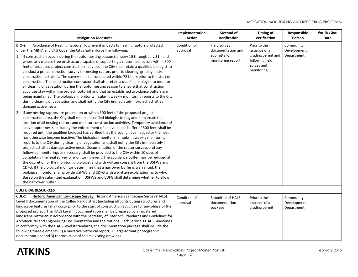| <b>Mitigation Measures</b>                                                                                                                                                                                                                                                                                                                                                                                                                                                                                                                                                                                                                                                                                                                                                                                                                                                                                                                                                                                                                                                                                                                                                                                                                                                                                                              | Implementation<br><b>Action</b> | <b>Method of</b><br>Verification                                        | <b>Timing of</b><br>Verification                                                                   | Responsible<br>Person                  | Verification<br>Date |
|-----------------------------------------------------------------------------------------------------------------------------------------------------------------------------------------------------------------------------------------------------------------------------------------------------------------------------------------------------------------------------------------------------------------------------------------------------------------------------------------------------------------------------------------------------------------------------------------------------------------------------------------------------------------------------------------------------------------------------------------------------------------------------------------------------------------------------------------------------------------------------------------------------------------------------------------------------------------------------------------------------------------------------------------------------------------------------------------------------------------------------------------------------------------------------------------------------------------------------------------------------------------------------------------------------------------------------------------|---------------------------------|-------------------------------------------------------------------------|----------------------------------------------------------------------------------------------------|----------------------------------------|----------------------|
| Avoidance of Nesting Raptors. To prevent impacts to nesting raptors protected<br><b>BIO-2</b><br>under the MBTA and CFG Code, the City shall enforce the following:<br>1) If construction occurs during the raptor nesting season (January 15 through July 31), and<br>where any mature tree or structure capable of supporting a raptor nest occurs within 500<br>feet of proposed project construction activities, the City shall retain a qualified biologist to<br>conduct a pre-construction survey for nesting raptors prior to clearing, grading and/or<br>construction activities. The survey shall be conducted within 72 hours prior to the start of<br>construction. The construction contractor shall also retain a qualified biologist to monitor<br>all clearing of vegetation during the raptor nesting season to ensure that construction<br>activities stay within the project footprint and that an established avoidance buffers are<br>being maintained. The biological monitor will submit weekly monitoring reports to the City<br>during clearing of vegetation and shall notify the City immediately if project activities<br>damage active nests.                                                                                                                                                              | Condition of<br>approval        | Field survey,<br>documentation and<br>submittal of<br>monitoring report | Prior to the<br>issuance of a<br>grading permit and<br>following field<br>survey and<br>monitoring | Community<br>Development<br>Department |                      |
| If any nesting raptors are present on or within 500 feet of the proposed project<br>2)<br>construction area, the City shall retain a qualified biologist to flag and demarcate the<br>location of all nesting raptors and monitor construction activities. Temporary avoidance of<br>active raptor nests, including the enforcement of an avoidance buffer of 500 feet, shall be<br>required until the qualified biologist has verified that the young have fledged or the nest<br>has otherwise become inactive. The biological monitor shall submit weekly monitoring<br>reports to the City during clearing of vegetation and shall notify the City immediately if<br>project activities damage active nests. Documentation of the raptor surveys and any<br>follow-up monitoring, as necessary, shall be provided to the City within 10 days of<br>completing the final survey or monitoring event. The avoidance buffer may be reduced at<br>the discretion of the monitoring biologist and with written consent from the USFWS and<br>CDFG. If the biological monitor determines that a narrower buffer is warranted, the<br>biological monitor shall provide USFWS and CDFG with a written explanation as to why.<br>Based on the submitted explanation, USFWS and CDFG shall determine whether to allow<br>the narrower buffer. |                                 |                                                                         |                                                                                                    |                                        |                      |
| <b>CULTURAL RESOURCES</b>                                                                                                                                                                                                                                                                                                                                                                                                                                                                                                                                                                                                                                                                                                                                                                                                                                                                                                                                                                                                                                                                                                                                                                                                                                                                                                               |                                 |                                                                         |                                                                                                    |                                        |                      |
| Historic American Landscape Survey. Historic American Landscape Survey (HALS)<br>CUL-1<br>Level II documentation of the Collier Park district (including all contributing structures and<br>landscape features) shall occur prior to the start of construction activities for any phase of the<br>proposed project. The HALS Level II documentation shall be prepared by a registered<br>landscape historian in accordance with the Secretary of Interior's Standards and Guidelines for<br>Architectural and Engineering Documentation and the National Park Service's HALS Guidelines.<br>In conformity with the HALS Level II standards, the documentation package shall include the<br>following three elements: 1) a narrative historical report; 2) large-format photographic<br>documentation; and 3) reproduction of select existing drawings.                                                                                                                                                                                                                                                                                                                                                                                                                                                                                  | Condition of<br>approval        | Submittal of HALS<br>documentation<br>package                           | Prior to the<br>issuance of a<br>grading permit                                                    | Community<br>Development<br>Department |                      |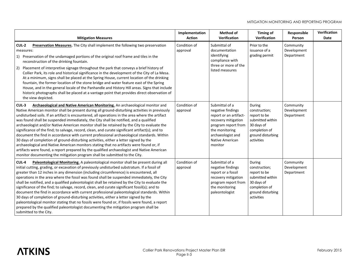| <b>Mitigation Measures</b>                                                                                                                                                                                                                                                                                                                                                                                                                                                                                                                                                                                                                                                                                                                                                                                                                                                                                                                                                                                                                        | Implementation<br><b>Action</b> | <b>Method of</b><br>Verification                                                                                                                                                 | Timing of<br>Verification                                                                                                     | Responsible<br>Person                  | Verification<br>Date |
|---------------------------------------------------------------------------------------------------------------------------------------------------------------------------------------------------------------------------------------------------------------------------------------------------------------------------------------------------------------------------------------------------------------------------------------------------------------------------------------------------------------------------------------------------------------------------------------------------------------------------------------------------------------------------------------------------------------------------------------------------------------------------------------------------------------------------------------------------------------------------------------------------------------------------------------------------------------------------------------------------------------------------------------------------|---------------------------------|----------------------------------------------------------------------------------------------------------------------------------------------------------------------------------|-------------------------------------------------------------------------------------------------------------------------------|----------------------------------------|----------------------|
| CUL-2<br>Preservation Measures. The City shall implement the following two preservation<br>measures:<br>1) Preservation of the undamaged portions of the original roof frame and tiles in the<br>reconstruction of the drinking fountain.<br>Placement of interpretive signage throughout the park that conveys a brief history of<br>2)<br>Collier Park, its role and historical significance in the development of the City of La Mesa.<br>At a minimum, signs shall be placed at the Spring House, current location of the drinking<br>fountain, the former location of the stone bridge and water feature east of the Spring<br>House, and in the general locale of the Panhandle and History Hill areas. Signs that include<br>historic photographs shall be placed at a vantage point that provides direct observation of<br>the view depicted.                                                                                                                                                                                             | Condition of<br>approval        | Submittal of<br>documentation<br>identifying<br>compliance with<br>three or more of the<br>listed measures                                                                       | Prior to the<br>issuance of a<br>grading permit                                                                               | Community<br>Development<br>Department |                      |
| CUL-3<br>Archaeological and Native American Monitoring. An archaeological monitor and<br>Native American monitor shall be present during all ground-disturbing activities in previously<br>undisturbed soils. If an artifact is encountered, all operations in the area where the artifact<br>was found shall be suspended immediately, the City shall be notified, and a qualified<br>archaeologist and/or Native American monitor shall be retained by the City to evaluate the<br>significance of the find; to salvage, record, clean, and curate significant artifact(s); and to<br>document the find in accordance with current professional archaeological standards. Within<br>30 days of completion of ground-disturbing activities, either a letter signed by the<br>archaeological and Native American monitors stating that no artifacts were found or, if<br>artifacts were found, a report prepared by the qualified archaeologist and Native American<br>monitor documenting the mitigation program shall be submitted to the City. | Condition of<br>approval        | Submittal of a<br>negative findings<br>report or an artifact-<br>recovery mitigation<br>program report from<br>the monitoring<br>archaeologist and<br>Native American<br>monitor | During<br>construction;<br>report to be<br>submitted within<br>30 days of<br>completion of<br>ground disturbing<br>activities | Community<br>Development<br>Department |                      |
| CUL-4<br>Paleontological Monitoring. A paleontological monitor shall be present during all<br>initial cutting, grading, or excavation of previously undisturbed substratum. If a fossil of<br>greater than 12 inches in any dimension (including circumference) is encountered, all<br>operations in the area where the fossil was found shall be suspended immediately, the City<br>shall be notified, and a qualified paleontologist shall be retained by the City to evaluate the<br>significance of the find; to salvage, record, clean, and curate significant fossil(s); and to<br>document the find in accordance with current professional paleontological standards. Within<br>30 days of completion of ground-disturbing activities, either a letter signed by the<br>paleontological monitor stating that no fossils were found or, if fossils were found, a report<br>prepared by the qualified paleontologist documenting the mitigation program shall be<br>submitted to the City.                                                  | Condition of<br>approval        | Submittal of a<br>negative findings<br>report or a fossil<br>recovery mitigation<br>program report from<br>the monitoring<br>paleontologist                                      | During<br>construction;<br>report to be<br>submitted within<br>30 days of<br>completion of<br>ground disturbing<br>activities | Community<br>Development<br>Department |                      |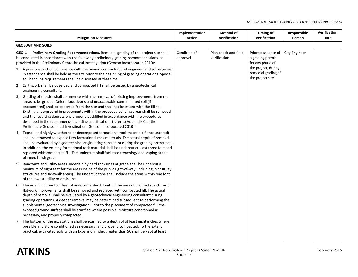| <b>Mitigation Measures</b>                                                                                                                                                                                                                                                                                                                                                                                                                                                                                                                                                                                        | Implementation<br><b>Action</b> | Method of<br><b>Verification</b>     | <b>Timing of</b><br><b>Verification</b>                                                                    | Responsible<br>Person | Verification<br>Date |  |  |  |
|-------------------------------------------------------------------------------------------------------------------------------------------------------------------------------------------------------------------------------------------------------------------------------------------------------------------------------------------------------------------------------------------------------------------------------------------------------------------------------------------------------------------------------------------------------------------------------------------------------------------|---------------------------------|--------------------------------------|------------------------------------------------------------------------------------------------------------|-----------------------|----------------------|--|--|--|
| <b>GEOLOGY AND SOILS</b>                                                                                                                                                                                                                                                                                                                                                                                                                                                                                                                                                                                          |                                 |                                      |                                                                                                            |                       |                      |  |  |  |
| Preliminary Grading Recommendations. Remedial grading of the project site shall<br>GEO-1<br>be conducted in accordance with the following preliminary grading recommendations, as<br>provided in the Preliminary Geotechnical Investigation (Geocon Incorporated 2010):<br>1) A pre-construction conference with the owner, contractor, civil engineer, and soil engineer                                                                                                                                                                                                                                         | Condition of<br>approval        | Plan check and field<br>verification | Prior to issuance of<br>a grading permit<br>for any phase of<br>the project; during<br>remedial grading of | <b>City Engineer</b>  |                      |  |  |  |
| in attendance shall be held at the site prior to the beginning of grading operations. Special<br>soil handling requirements shall be discussed at that time.                                                                                                                                                                                                                                                                                                                                                                                                                                                      |                                 |                                      | the project site                                                                                           |                       |                      |  |  |  |
| Earthwork shall be observed and compacted fill shall be tested by a geotechnical<br>2)<br>engineering consultant.                                                                                                                                                                                                                                                                                                                                                                                                                                                                                                 |                                 |                                      |                                                                                                            |                       |                      |  |  |  |
| Grading of the site shall commence with the removal of existing improvements from the<br>3)<br>areas to be graded. Deleterious debris and unacceptable contaminated soil (if<br>encountered) shall be exported from the site and shall not be mixed with the fill soil.<br>Existing underground improvements within the proposed building areas shall be removed<br>and the resulting depressions properly backfilled in accordance with the procedures<br>described in the recommended grading specifications (refer to Appendix C of the<br>Preliminary Geotechnical Investigation [Geocon Incorporated 2010]). |                                 |                                      |                                                                                                            |                       |                      |  |  |  |
| Topsoil and highly weathered or decomposed formational rock material (if encountered)<br>4)<br>shall be removed to expose firm formational rock materials. The actual depth of removal<br>shall be evaluated by a geotechnical engineering consultant during the grading operations.<br>In addition, the existing formational rock material shall be undercut at least three feet and<br>replaced with compacted fill. The undercuts shall facilitate trenching/landscaping at the<br>planned finish grade.                                                                                                       |                                 |                                      |                                                                                                            |                       |                      |  |  |  |
| Roadways and utility areas underlain by hard rock units at grade shall be undercut a<br>5)<br>minimum of eight feet for the areas inside of the public right-of-way (including joint utility<br>structures and sidewalk areas). The undercut zone shall include the areas within one foot<br>of the lowest utility or drain line.                                                                                                                                                                                                                                                                                 |                                 |                                      |                                                                                                            |                       |                      |  |  |  |
| The existing upper four feet of undocumented fill within the area of planned structures or<br>6)<br>flatwork improvements shall be removed and replaced with compacted fill. The actual<br>depth of removal shall be evaluated by a geotechnical engineering consultant during<br>grading operations. A deeper removal may be determined subsequent to performing the<br>supplemental geotechnical investigation. Prior to the placement of compacted fill, the<br>exposed ground surface shall be scarified where possible, moisture conditioned as<br>necessary, and properly compacted.                        |                                 |                                      |                                                                                                            |                       |                      |  |  |  |
| The bottom of the excavations shall be scarified to a depth of at least eight inches where<br>7)<br>possible, moisture conditioned as necessary, and properly compacted. To the extent<br>practical, excavated soils with an Expansion Index greater than 50 shall be kept at least                                                                                                                                                                                                                                                                                                                               |                                 |                                      |                                                                                                            |                       |                      |  |  |  |

## **ATKINS**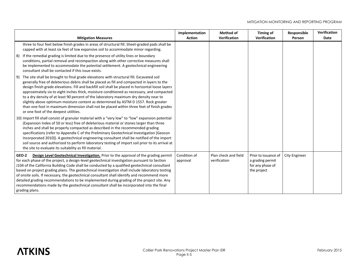|       | <b>Mitigation Measures</b>                                                                                                                                                                                                                                                                                                                                                                                                                                                                                                                                                                                                                                                                                     | Implementation<br><b>Action</b> | <b>Method of</b><br>Verification     | <b>Timing of</b><br>Verification                                            | Responsible<br>Person | Verification<br>Date |
|-------|----------------------------------------------------------------------------------------------------------------------------------------------------------------------------------------------------------------------------------------------------------------------------------------------------------------------------------------------------------------------------------------------------------------------------------------------------------------------------------------------------------------------------------------------------------------------------------------------------------------------------------------------------------------------------------------------------------------|---------------------------------|--------------------------------------|-----------------------------------------------------------------------------|-----------------------|----------------------|
| 8)    | three to four feet below finish grades in areas of structural fill. Sheet-graded pads shall be<br>capped with at least six feet of low expansive soil to accommodate minor regarding.<br>If the remedial grading is limited due to the presence of utility lines or boundary<br>conditions, partial removal and recompaction along with other corrective measures shall<br>be implemented to accommodate the potential settlement. A geotechnical engineering<br>consultant shall be contacted if this issue exists.                                                                                                                                                                                           |                                 |                                      |                                                                             |                       |                      |
| 9)    | The site shall be brought to final grade elevations with structural fill. Excavated soil<br>generally free of deleterious debris shall be placed as fill and compacted in layers to the<br>design finish grade elevations. Fill and backfill soil shall be placed in horizontal loose layers<br>approximately six to eight inches thick, moisture conditioned as necessary, and compacted<br>to a dry density of at least 90 percent of the laboratory maximum dry density near to<br>slightly above optimum moisture content as determined by ASTM D 1557. Rock greater<br>than one foot in maximum dimension shall not be placed within three feet of finish grades<br>or one foot of the deepest utilities. |                                 |                                      |                                                                             |                       |                      |
|       | 10) Import fill shall consist of granular material with a "very low" to "low" expansion potential<br>(Expansion Index of 50 or less) free of deleterious material or stones larger than three<br>inches and shall be properly compacted as described in the recommended grading<br>specifications (refer to Appendix C of the Preliminary Geotechnical Investigation [Geocon]<br>Incorporated 2010]). A geotechnical engineering consultant shall be notified of the import<br>soil source and authorized to perform laboratory testing of import soil prior to its arrival at<br>the site to evaluate its suitability as fill material.                                                                       |                                 |                                      |                                                                             |                       |                      |
| GEO-2 | Design Level Geotechnical Investigation. Prior to the approval of the grading permit<br>for each phase of the project, a design-level geotechnical investigation pursuant to Section<br>J104 of the California Building Code shall be conducted by a qualified geotechnical consultant<br>based on project grading plans. The geotechnical investigation shall include laboratory testing<br>of onsite soils. If necessary, the geotechnical consultant shall identify and recommend more<br>detailed grading recommendations to be implemented during grading of the project site. Any<br>recommendations made by the geotechnical consultant shall be incorporated into the final<br>grading plans.          | Condition of<br>approval        | Plan check and field<br>verification | Prior to issuance of<br>a grading permit<br>for any phase of<br>the project | City Engineer         |                      |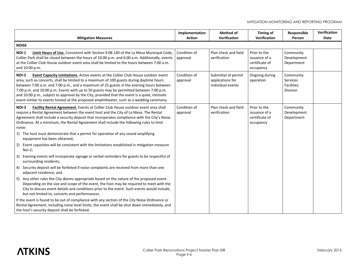| <b>Mitigation Measures</b>                                                                                                                                                                                                                                                                                                                                                                                                                                                                                                                                                        | Implementation<br><b>Action</b> | Method of<br>Verification                                    | <b>Timing of</b><br>Verification                             | Responsible<br>Person                                  | Verification<br>Date |  |  |  |
|-----------------------------------------------------------------------------------------------------------------------------------------------------------------------------------------------------------------------------------------------------------------------------------------------------------------------------------------------------------------------------------------------------------------------------------------------------------------------------------------------------------------------------------------------------------------------------------|---------------------------------|--------------------------------------------------------------|--------------------------------------------------------------|--------------------------------------------------------|----------------------|--|--|--|
| <b>NOISE</b>                                                                                                                                                                                                                                                                                                                                                                                                                                                                                                                                                                      |                                 |                                                              |                                                              |                                                        |                      |  |  |  |
| Limit Hours of Use. Consistent with Section 9.08.140 of the La Mesa Municipal Code,<br>NOI-1<br>Collier Park shall be closed between the hours of 10:00 p.m. and 6:00 a.m. Additionally, events<br>at the Collier Club House outdoor event area shall be limited to the hours between 7:00 a.m.<br>and 10:00 p.m.                                                                                                                                                                                                                                                                 | Condition of<br>approval        | Plan check and field<br>verification                         | Prior to the<br>issuance of a<br>certificate of<br>occupancy | Community<br>Development<br>Department                 |                      |  |  |  |
| <b>NOI-2</b><br>Event Capacity Limitations. Active events at the Collier Club House outdoor event<br>area, such as concerts, shall be limited to a maximum of 100 guests during daytime hours<br>between 7:00 a.m. and 7:00 p.m., and a maximum of 25 guests in the evening hours between<br>7:00 p.m. and 10:00 p.m. Events with up to 50 guests may be permitted between 7:00 p.m.<br>and 10:00 p.m., subject to approval by the City, provided that the event is a quiet, intimate<br>event similar to events hosted at the proposed amphitheater, such as a wedding ceremony. | Condition of<br>approval        | Submittal of permit<br>applications for<br>individual events | Ongoing during<br>operation                                  | Community<br>Services<br><b>Facilities</b><br>Division |                      |  |  |  |
| Facility Rental Agreement. Events at Collier Club House outdoor event area shall<br>NOI-3<br>require a Rental Agreement between the event host and the City of La Mesa. The Rental<br>Agreement shall include a security deposit that incorporates compliance with the City's Noise<br>Ordinance. At a minimum, the Rental Agreement shall include the following rules to limit<br>noise:                                                                                                                                                                                         | Condition of<br>approval        | Plan check and field<br>verification                         | Prior to the<br>issuance of a<br>certificate of<br>occupancy | Community<br>Development<br>Department                 |                      |  |  |  |
| 1) The host must demonstrate that a permit for operation of any sound amplifying<br>equipment has been obtained;                                                                                                                                                                                                                                                                                                                                                                                                                                                                  |                                 |                                                              |                                                              |                                                        |                      |  |  |  |
| Event capacities will be consistent with the limitations established in mitigation measure<br>2)<br>Noi-2;                                                                                                                                                                                                                                                                                                                                                                                                                                                                        |                                 |                                                              |                                                              |                                                        |                      |  |  |  |
| Evening events will incorporate signage or verbal reminders for guests to be respectful of<br>3)<br>surrounding residents;                                                                                                                                                                                                                                                                                                                                                                                                                                                        |                                 |                                                              |                                                              |                                                        |                      |  |  |  |
| 4) Security deposit will be forfeited if noise complaints are received from more than one<br>adjacent residence; and                                                                                                                                                                                                                                                                                                                                                                                                                                                              |                                 |                                                              |                                                              |                                                        |                      |  |  |  |
| Any other rules the City deems appropriate based on the nature of the proposed event.<br>5)<br>Depending on the size and scope of the event, the host may be required to meet with the<br>City to discuss event details and conditions prior to the event. Such events would include,<br>but not limited to, concerts and performances.                                                                                                                                                                                                                                           |                                 |                                                              |                                                              |                                                        |                      |  |  |  |
| If the event is found to be out of compliance with any section of the City Noise Ordinance or<br>Rental Agreement, including noise level limits, the event shall be shut down immediately, and<br>the host's security deposit shall be forfeited.                                                                                                                                                                                                                                                                                                                                 |                                 |                                                              |                                                              |                                                        |                      |  |  |  |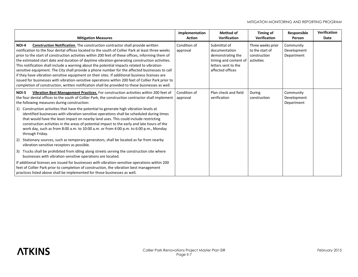| <b>Mitigation Measures</b>                                                                                                                                                                                                                                                                                                                                                                                                                                                                                                                                                                                                                                                                                                                                                                                                                                                                                           | Implementation<br><b>Action</b> | <b>Method of</b><br><b>Verification</b>                                                                                | <b>Timing of</b><br><b>Verification</b>                            | Responsible<br>Person                  | <b>Verification</b><br>Date |
|----------------------------------------------------------------------------------------------------------------------------------------------------------------------------------------------------------------------------------------------------------------------------------------------------------------------------------------------------------------------------------------------------------------------------------------------------------------------------------------------------------------------------------------------------------------------------------------------------------------------------------------------------------------------------------------------------------------------------------------------------------------------------------------------------------------------------------------------------------------------------------------------------------------------|---------------------------------|------------------------------------------------------------------------------------------------------------------------|--------------------------------------------------------------------|----------------------------------------|-----------------------------|
| <b>Construction Notification.</b> The construction contractor shall provide written<br>NOI-4<br>notification to the four dental offices located to the south of Collier Park at least three weeks<br>prior to the start of construction activities within 200 feet of these offices, informing them of<br>the estimated start date and duration of daytime vibration-generating construction activities.<br>This notification shall include a warning about the potential impacts related to vibration-<br>sensitive equipment. The City shall provide a phone number for the affected businesses to call<br>if they have vibration-sensitive equipment on their sites. If additional business licenses are<br>issued for businesses with vibration-sensitive operations within 200 feet of Collier Park prior to<br>completion of construction, written notification shall be provided to these businesses as well. | Condition of<br>approval        | Submittal of<br>documentation<br>demonstrating the<br>timing and content of<br>letters sent to the<br>affected offices | Three weeks prior<br>to the start of<br>construction<br>activities | Community<br>Development<br>Department |                             |
| Vibration Best Management Practices. For construction activities within 200 feet of<br>NOI-5<br>the four dental offices to the south of Collier Park, the construction contractor shall implement<br>the following measures during construction:<br>Construction activities that have the potential to generate high vibration levels at<br>1)<br>identified businesses with vibration-sensitive operations shall be scheduled during times<br>that would have the least impact on nearby land uses. This could include restricting<br>construction activities in the areas of potential impact to the early and late hours of the<br>work day, such as from 8:00 a.m. to 10:00 a.m. or from 4:00 p.m. to 6:00 p.m., Monday<br>through Friday.                                                                                                                                                                       | Condition of<br>approval        | Plan check and field<br>verification                                                                                   | During<br>construction                                             | Community<br>Development<br>Department |                             |
| Stationary sources, such as temporary generators, shall be located as far from nearby<br>2)<br>vibration-sensitive receptors as possible.                                                                                                                                                                                                                                                                                                                                                                                                                                                                                                                                                                                                                                                                                                                                                                            |                                 |                                                                                                                        |                                                                    |                                        |                             |
| Trucks shall be prohibited from idling along streets serving the construction site where<br>3)<br>businesses with vibration-sensitive operations are located.                                                                                                                                                                                                                                                                                                                                                                                                                                                                                                                                                                                                                                                                                                                                                        |                                 |                                                                                                                        |                                                                    |                                        |                             |
| If additional licenses are issued for businesses with vibration-sensitive operations within 200<br>feet of Collier Park prior to completion of construction, the vibration best management<br>practices listed above shall be implemented for those businesses as well.                                                                                                                                                                                                                                                                                                                                                                                                                                                                                                                                                                                                                                              |                                 |                                                                                                                        |                                                                    |                                        |                             |